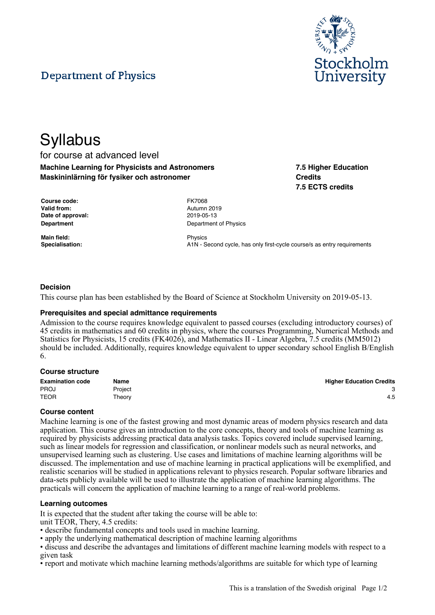



# **Syllabus** for course at advanced level **Machine Learning for Physicists and Astronomers Maskininlärning för fysiker och astronomer**

**7.5 Higher Education Credits 7.5 ECTS credits**

| Course code:       | <b>FK7068</b> |
|--------------------|---------------|
| <b>Valid from:</b> | Autumn        |
| Date of approval:  | 2019-05       |
| <b>Department</b>  | Departn       |

**Main field:** Physics

**Valid from:** Autumn 2019 **Date of approval:** 2019-05-13 **Department of Physics** 

**Specialisation:** A1N - Second cycle, has only first-cycle course/s as entry requirements

# **Decision**

This course plan has been established by the Board of Science at Stockholm University on 2019-05-13.

# **Prerequisites and special admittance requirements**

Admission to the course requires knowledge equivalent to passed courses (excluding introductory courses) of 45 credits in mathematics and 60 credits in physics, where the courses Programming, Numerical Methods and Statistics for Physicists, 15 credits (FK4026), and Mathematics II - Linear Algebra, 7.5 credits (MM5012) should be included. Additionally, requires knowledge equivalent to upper secondary school English B/English 6.

#### **Course structure**

| <b>Examination code</b> | Name    | <b>Higher Education Credits</b> |
|-------------------------|---------|---------------------------------|
| <b>PROJ</b>             | Proiect |                                 |
| <b>TEOR</b>             | Theory  | 4.5                             |

#### **Course content**

Machine learning is one of the fastest growing and most dynamic areas of modern physics research and data application. This course gives an introduction to the core concepts, theory and tools of machine learning as required by physicists addressing practical data analysis tasks. Topics covered include supervised learning, such as linear models for regression and classification, or nonlinear models such as neural networks, and unsupervised learning such as clustering. Use cases and limitations of machine learning algorithms will be discussed. The implementation and use of machine learning in practical applications will be exemplified, and realistic scenarios will be studied in applications relevant to physics research. Popular software libraries and data-sets publicly available will be used to illustrate the application of machine learning algorithms. The practicals will concern the application of machine learning to a range of real-world problems.

# **Learning outcomes**

It is expected that the student after taking the course will be able to: unit TEOR, Thery, 4.5 credits:

- describe fundamental concepts and tools used in machine learning.
- apply the underlying mathematical description of machine learning algorithms
- discuss and describe the advantages and limitations of different machine learning models with respect to a given task
- report and motivate which machine learning methods/algorithms are suitable for which type of learning